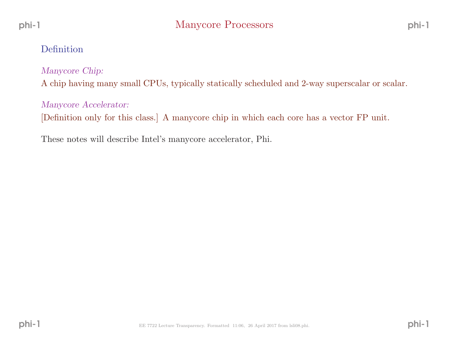## Definition

Manycore Chip:

<sup>A</sup> chip having many small CPUs, typically statically scheduled and 2-way superscalar or scalar.

Manycore Accelerator:

[Definition only for this class.] <sup>A</sup> manycore chip in which each core has <sup>a</sup> vector FP unit.

These notes will describe Intel's manycore accelerator, Phi.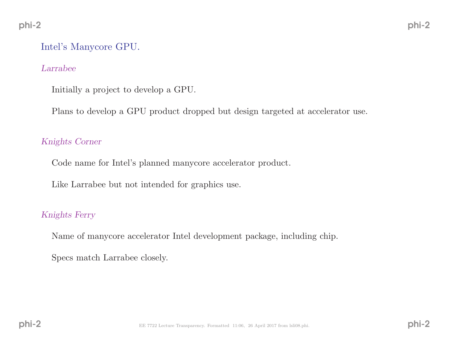# Intel's Manycore GPU.

#### Larrabee

Initially <sup>a</sup> project to develop <sup>a</sup> GPU.

Plans to develop <sup>a</sup> GPU product dropped but design targeted at accelerator use.

#### Knights Corner

Code name for Intel's <sup>p</sup>lanned manycore accelerator product.

Like Larrabee but not intended for graphics use.

### Knights Ferry

Name of manycore accelerator Intel development package, including chip.

Specs match Larrabee closely.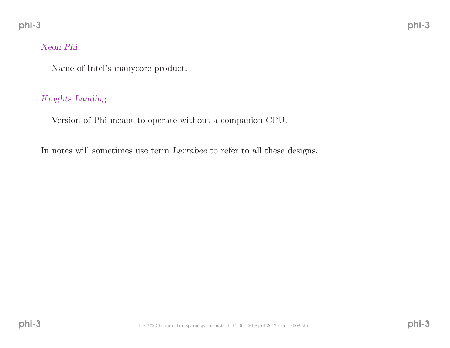### Xeon Phi

Name of Intel's manycore product.

### Knights Landing

Version of Phi meant to operate without <sup>a</sup> companion CPU.

In notes will sometimes use term Larrabee to refer to all these designs.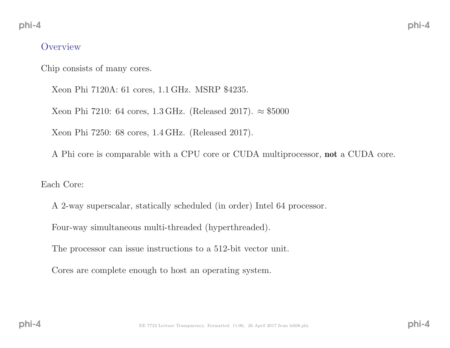### **Overview**

Chip consists of many cores.

Xeon Phi 7120A: <sup>61</sup> cores, <sup>1</sup>.<sup>1</sup> GHz. MSRP \$4235.

Xeon Phi 7210: 64 cores, 1.3 GHz. (Released 2017). ≈ \$5000

Xeon Phi 7250: <sup>68</sup> cores, <sup>1</sup>.<sup>4</sup> GHz. (Released 2017).

<sup>A</sup> Phi core is comparable with <sup>a</sup> CPU core or CUDA multiprocessor, not <sup>a</sup> CUDA core.

Each Core:

<sup>A</sup> 2-way superscalar, statically scheduled (in order) Intel <sup>64</sup> processor.

Four-way simultaneous multi-threaded (hyperthreaded).

The processor can issue instructions to <sup>a</sup> 512-bit vector unit.

Cores are complete enoug<sup>h</sup> to host an operating system.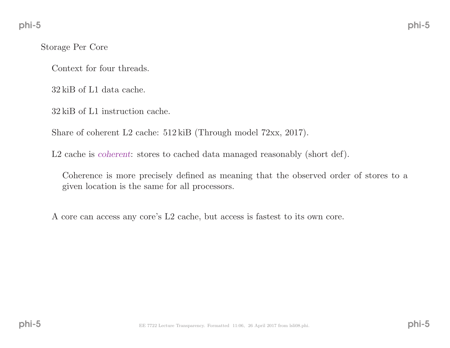Storage Per Core

Context for four threads.

<sup>32</sup> kiB of L1 data cache.

<sup>32</sup> kiB of L1 instruction cache.

Share of coherent L2 cache: <sup>512</sup> kiB (Through model 72xx, 2017).

L2 cache is *coherent*: stores to cached data managed reasonably (short def).

Coherence is more precisely defined as meaning that the observed order of stores to <sup>a</sup> <sup>g</sup>iven location is the same for all processors.

<sup>A</sup> core can access any core's L2 cache, but access is fastest to its own core.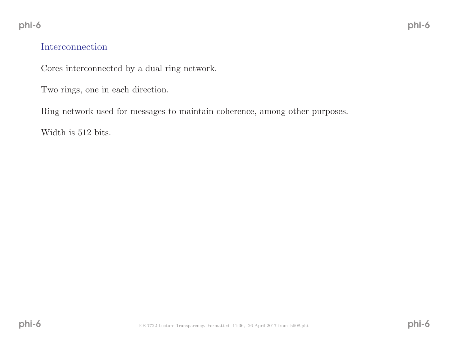## Interconnection

Cores interconnected by <sup>a</sup> dual ring network.

Two rings, one in each direction.

Ring network used for messages to maintain coherence, among other purposes.

Width is <sup>512</sup> bits.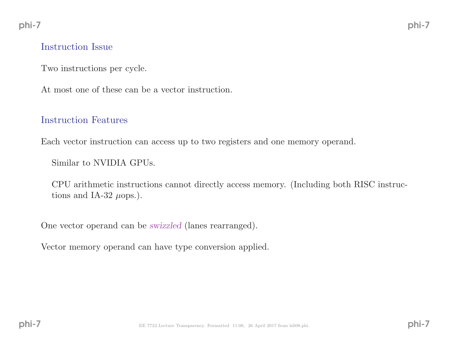### Instruction Issue

Two instructions per cycle.

At most one of these can be <sup>a</sup> vector instruction.

## Instruction Features

Each vector instruction can access up to two registers and one memory operand.

Similar to NVIDIA GPUs.

CPU arithmetic instructions cannot directly access memory. (Including both RISC instructions and IA-32  $\mu$ ops.).

One vector operand can be swizzled (lanes rearranged).

Vector memory operand can have type conversion applied.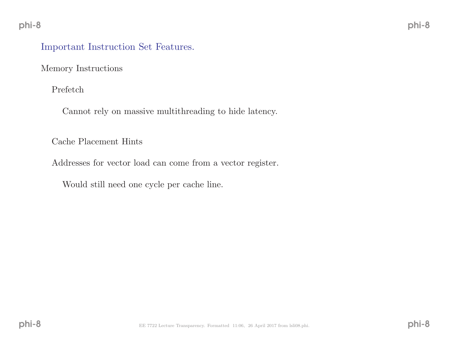## Important Instruction Set Features.

Memory Instructions

Prefetch

Cannot rely on massive multithreading to hide latency.

Cache Placement Hints

Addresses for vector load can come from <sup>a</sup> vector register.

Would still need one cycle per cache line.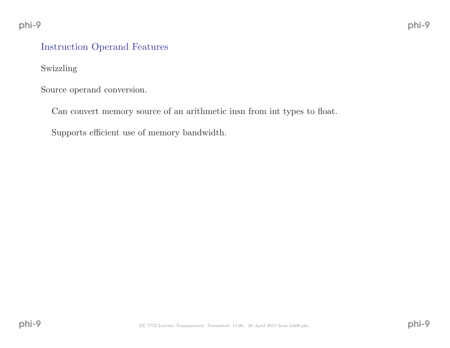# Instruction Operand Features

Swizzling

Source operand conversion.

Can convert memory source of an arithmetic insn from int types to float.

Supports efficient use of memory bandwidth.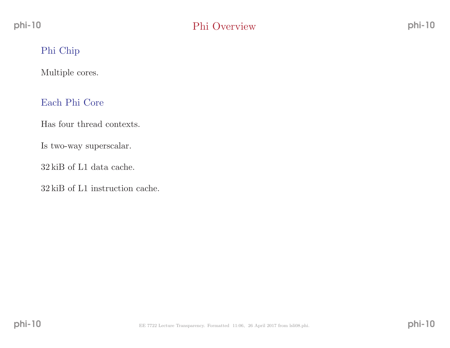# Phi Chip

Multiple cores.

## Each Phi Core

Has four thread contexts.

Is two-way superscalar.

<sup>32</sup> kiB of L1 data cache.

<sup>32</sup> kiB of L1 instruction cache.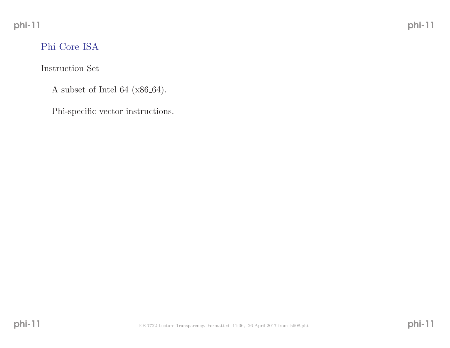# Phi Core ISA

Instruction Set

A subset of Intel 64 ( $x86-64$ ).

Phi-specific vector instructions.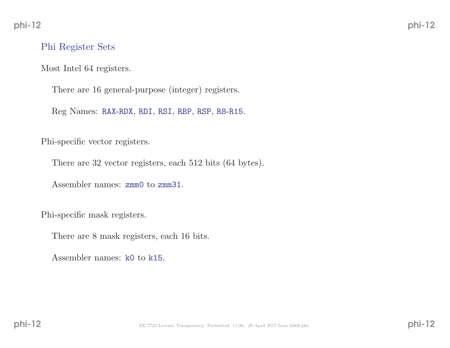### Phi Register Sets

Most Intel <sup>64</sup> registers.

There are <sup>16</sup> general-purpose (integer) registers.

Reg Names: RAX-RDX, RDI, RSI, RBP, RSP, R8-R15.

Phi-specific vector registers.

There are <sup>32</sup> vector registers, each <sup>512</sup> bits (64 bytes).

Assembler names: zmm0 to zmm31.

Phi-specific mask registers.

There are <sup>8</sup> mask registers, each <sup>16</sup> bits.

Assembler names: k0 to k15.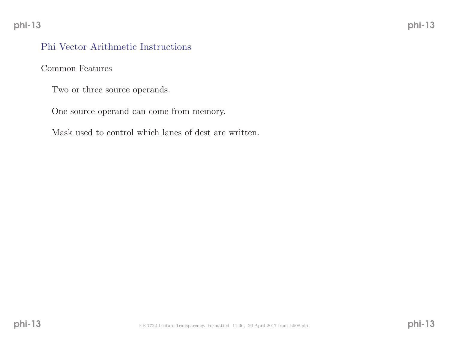## Phi Vector Arithmetic Instructions

Common Features

Two or three source operands.

One source operand can come from memory.

Mask used to control which lanes of dest are written.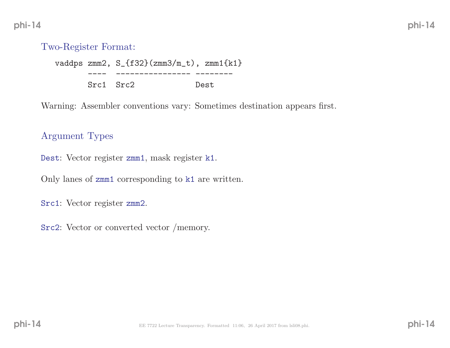## Two-Register Format:

vaddps zmm2, S\_{f32}(zmm3/m\_t), zmm1{k1} ---- ---------------- -------- Src1 Src2 Dest

Warning: Assembler conventions vary: Sometimes destination appears first.

### Argument Types

Dest: Vector register zmm1, mask register k1.

Only lanes of zmm1 corresponding to k1 are written.

Src1: Vector register zmm2.

Src2: Vector or converted vector /memory.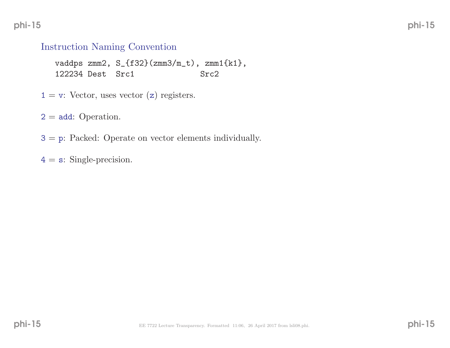phi-15

## Instruction Naming Convention

vaddps zmm2,  $S_{f32}$ (zmm3/m\_t), zmm1{k1},<br>122234 Dest Src1 Src2 122234 Dest Src1

 $1 = v$ : Vector, uses vector (z) registers.

 $2 = add: Operation.$ 

3 <sup>=</sup> <sup>p</sup>: Packed: Operate on vector elements individually.

 $4 = s$ : Single-precision.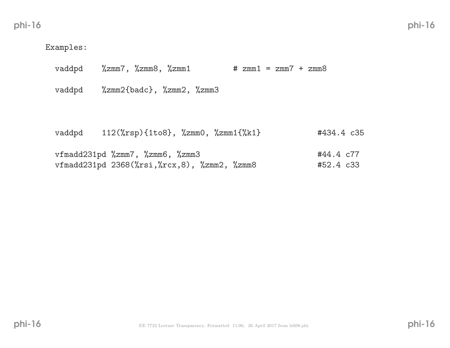Examples:

vaddpd %zmm7, %zmm8, %zmm1 # zmm1 <sup>=</sup> zmm7 <sup>+</sup> zmm8

vaddpd %zmm2{badc}, %zmm2, %zmm3

| vaddpd | $112(\text{``rsp)}\{\text{1to8}\}, \text{''zmm0}, \text{''zmm1}\{\text{``k1}\}\$                                                                             | #434.4 c35             |
|--------|--------------------------------------------------------------------------------------------------------------------------------------------------------------|------------------------|
|        | vfmadd $231$ pd $\frac{7}{2}$ mm7, $\frac{7}{2}$ mm6, $\frac{7}{2}$ mm3<br>vfmadd231pd $2368(\text{Nrsi}, \text{Nrcx}, 8)$ , $\text{Nzmm2}$ , $\text{Nzmm8}$ | #44.4 c77<br>#52.4 c33 |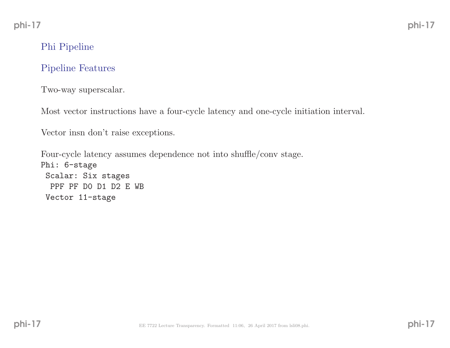# Phi Pipeline

### Pipeline Features

Two-way superscalar.

Most vector instructions have <sup>a</sup> four-cycle latency and one-cycle initiation interval.

Vector insn don't raise exceptions.

Four-cycle latency assumes dependence not into shuffle/conv stage. Phi: 6-stage Scalar: Six stages PPF PF D0 D1 D2 <sup>E</sup> WB Vector 11-stage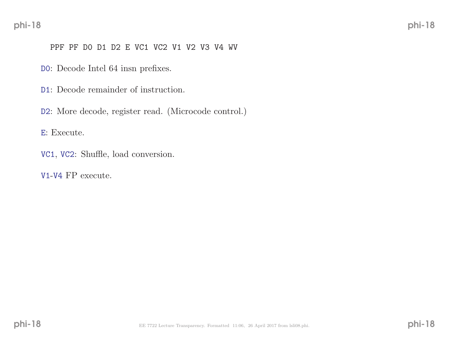#### PPF PF D0 D1 D2 <sup>E</sup> VC1 VC2 V1 V2 V3 V4 WV

D0: Decode Intel <sup>64</sup> insn prefixes.

D1: Decode remainder of instruction.

D2: More decode, register read. (Microcode control.)

<sup>E</sup>: Execute.

- VC1, VC2: Shuffle, load conversion.
- V1-V4 FP execute.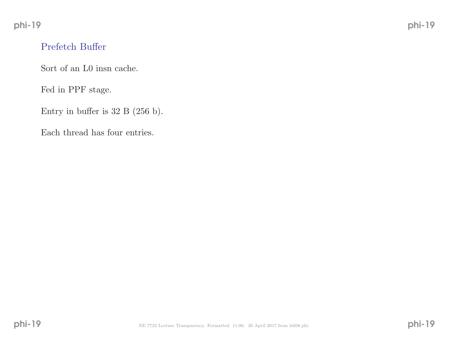# Prefetch Buffer

Sort of an L0 insn cache.

Fed in PPF stage.

Entry in buffer is <sup>32</sup> <sup>B</sup> (256 b).

Each thread has four entries.